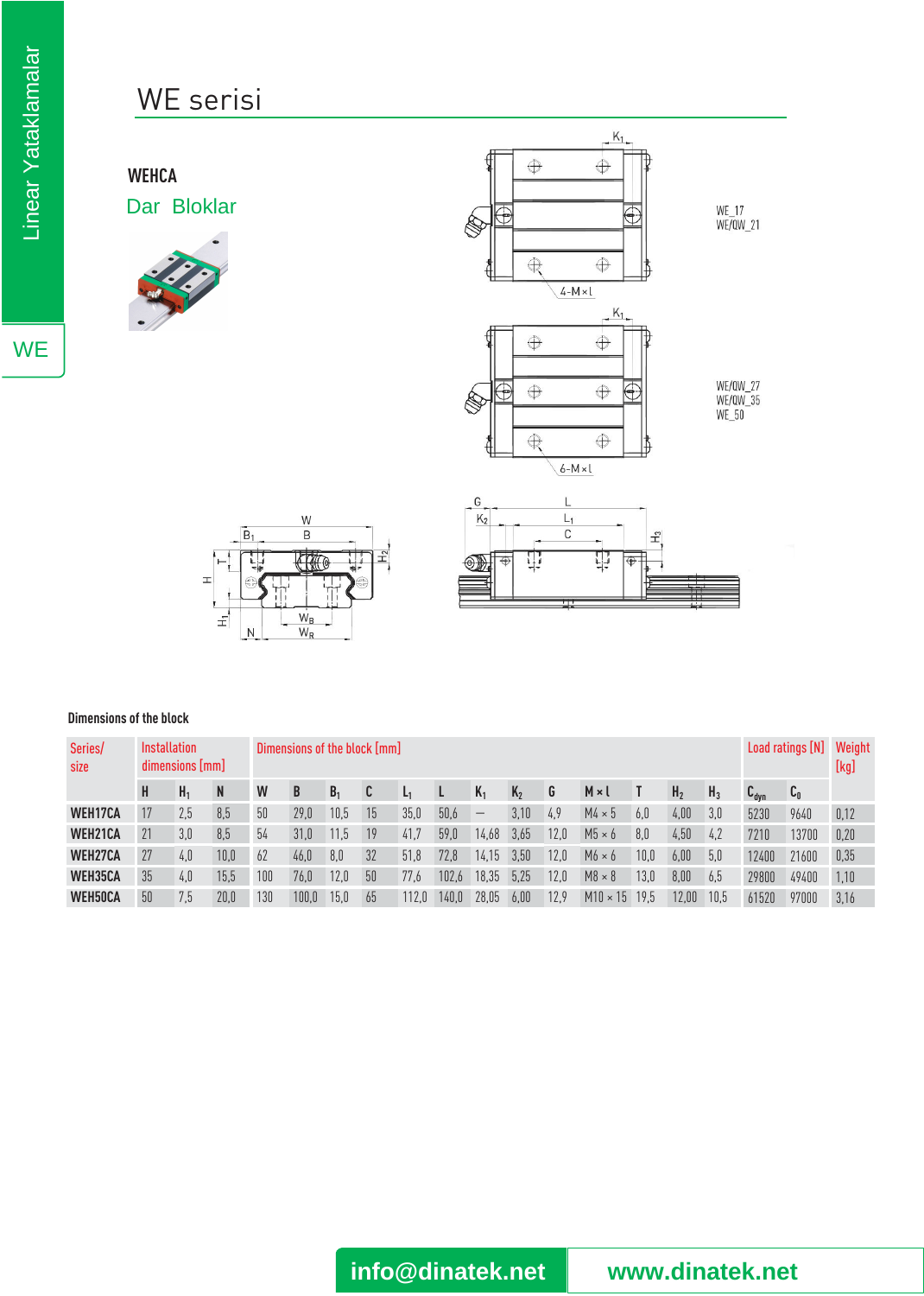## WE serisi

**WEHCA** Dar Bloklar







#### **Dimensions of the block**

| Series/<br>size | <b>Installation</b><br>dimensions [mm] |                |      |     | Dimensions of the block [mm] |                |    |       |       |       |         |      |                 |      |                |       |                  | Load ratings [N] Weight |      |  |
|-----------------|----------------------------------------|----------------|------|-----|------------------------------|----------------|----|-------|-------|-------|---------|------|-----------------|------|----------------|-------|------------------|-------------------------|------|--|
|                 | H                                      | H <sub>1</sub> | N    | W   | B                            | B <sub>1</sub> | C  |       |       | $K_1$ | $K_{2}$ | G    | $M \times I$    |      | H <sub>2</sub> | $H_3$ | $L_{\text{dyn}}$ | $\mathfrak{c}_0$        |      |  |
| <b>WEH17CA</b>  |                                        | 2,5            | 8,5  | 50  | 29.0                         | 10,5           | 15 | 35,0  | 50.6  |       | 3.10    | 4.9  | $M4 \times 5$   | 6.0  | 4,00           | 3,0   | 5230             | 9640                    | 0,12 |  |
| <b>WEH21CA</b>  |                                        | 3.0            | 8,5  | 54  | 31,0                         | 11,5           | 19 | 41,7  | 59,0  | 14,68 | 3,65    | 12.0 | $M5 \times 6$   | 8,0  | 4,50           | 4,2   | 7210             | 13700                   | 0,20 |  |
| <b>WEH27CA</b>  | 27                                     | 4.0            | 10,0 | 62  | 46.0                         | 8,0            | 32 | 51.8  | 72.8  | 14.15 | 3,50    | 12.0 | $M6 \times 6$   | 10,0 | 6,00           | 5,0   | 12400            | 21600                   | 0,35 |  |
| WEH35CA         | 35                                     | 4.0            | 15,5 | 100 | 76,0                         | 12,0           | 50 | 77,6  | 102.6 | 18,35 | 5,25    | 12.0 | $M8 \times 8$   | 13.0 | 8,00           | 6,5   | 29800            | 49400                   | 1,10 |  |
| <b>WEH50CA</b>  | 50                                     | 7,5            | 20,0 | 130 | 100,0                        | 15,0           | 65 | 112,0 | 40,0  | 28,05 | 6,00    | 12.9 | $M10 \times 15$ | 19.5 | 12,00          | 10,5  | 61520            | 97000                   | 3.16 |  |

**WE**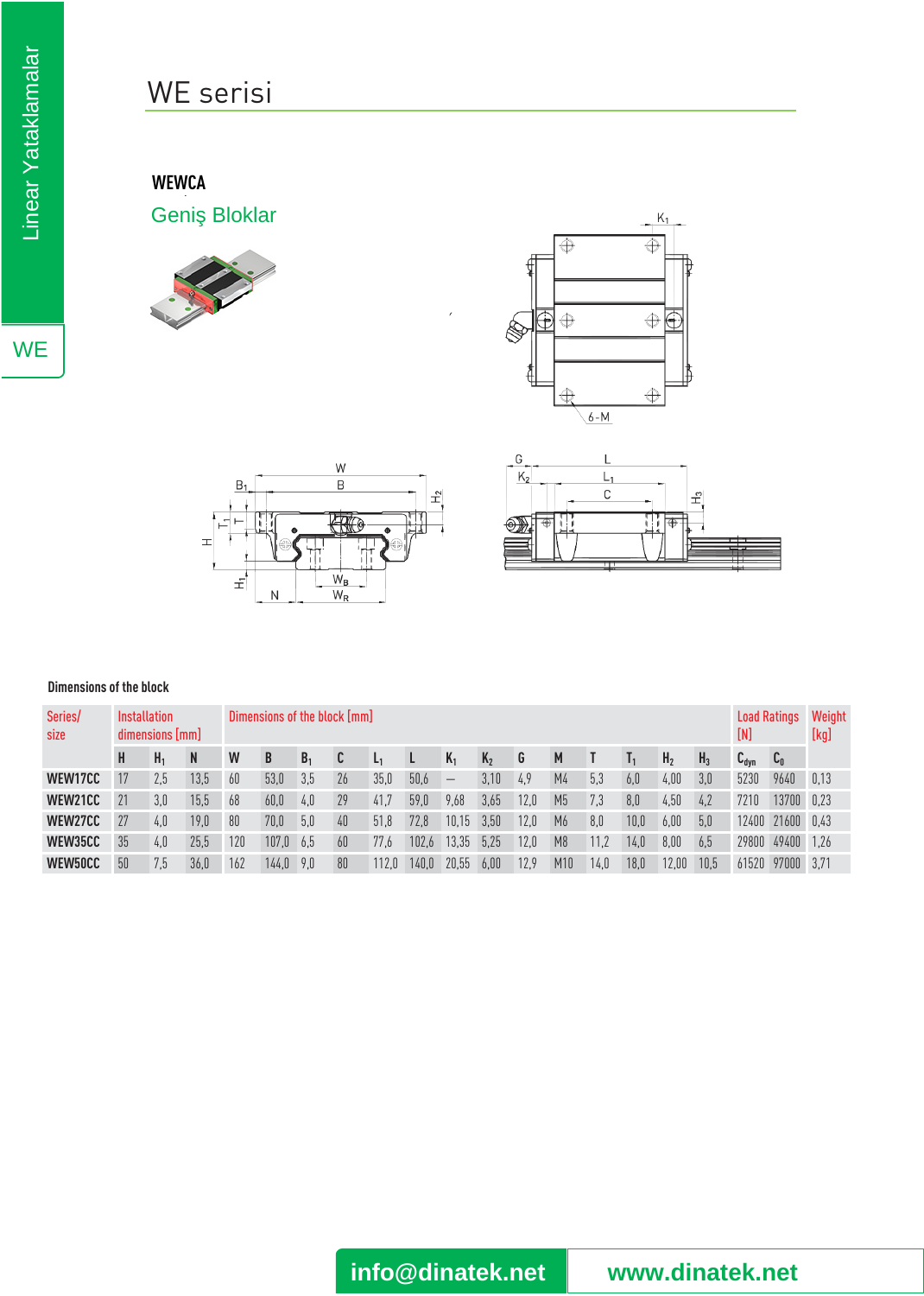# WE serisi

### **WEWCA**

Geni Bloklar









#### **Dimensions of the block**

| Series/<br>size | <b>Installation</b><br>dimensions [mm] |                |              | Dimensions of the block [mm] |       |                |    |       |       |                          |         |      |                |      |      | <b>Load Ratings</b><br>[N] |       | Weight<br>[kg]   |                                        |      |
|-----------------|----------------------------------------|----------------|--------------|------------------------------|-------|----------------|----|-------|-------|--------------------------|---------|------|----------------|------|------|----------------------------|-------|------------------|----------------------------------------|------|
|                 | H                                      | H <sub>1</sub> | <sup>N</sup> | W                            | B     | B <sub>1</sub> | C  | L1    |       | $K_1$                    | $K_{2}$ | G    | M              |      |      | H <sub>2</sub>             | $H_3$ | $C_{\text{dyn}}$ | $\mathfrak{c}_{\scriptscriptstyle{0}}$ |      |
| WEW17CC         | 17                                     | 2,5            | 13,5         | 60                           | 53.0  | 3,5            | 26 | 35,0  | 50,6  | $\overline{\phantom{m}}$ | 3.10    | 4,9  | M <sub>4</sub> | 5,3  | 6.0  | 4,00                       | 3.0   | 5230             | 9640                                   | 0,13 |
| WEW21CC         | 21                                     | 3,0            | 15,5         | 68                           | 60.0  | 4,0            | 29 | 41,7  | 59.0  | 9,68                     | 3,65    | 12.0 | M <sub>5</sub> | 7.3  | 8,0  | 4,50                       | 4.2   | 7210             | 13700 0.23                             |      |
| WEW27CC         | 27                                     | 4.0            | 19,0         | 80                           | 70.0  | 5,0            | 40 | 51.8  | 72.8  | 10.15                    | 3.50    | 12.0 | M <sub>6</sub> | 8.0  | 10.0 | 6,00                       | 5.0   | 12400            | 21600 0.43                             |      |
| WEW35CC         | 35                                     | 4.0            | 25,5         | 120                          | 107.0 | 6.5            | 60 | 77.6  | 102.6 | 13.35                    | 5.25    | 12.0 | M8             | 11,2 | 14.0 | 8,00                       | 6.5   | 29800            | 49400 1,26                             |      |
| WEW50CC         | 50                                     | 7,5            | 36,0         | 162                          | 144.0 | 9,0            | 80 | 112.0 | 140.0 | 20.55                    | 6.00    | 12.9 | M10            | 14,0 | 18,0 | 12,00                      | 10.5  | 61520            | 97000 3.71                             |      |

**WE** 

**info@dinatek.net www.dinatek.net**